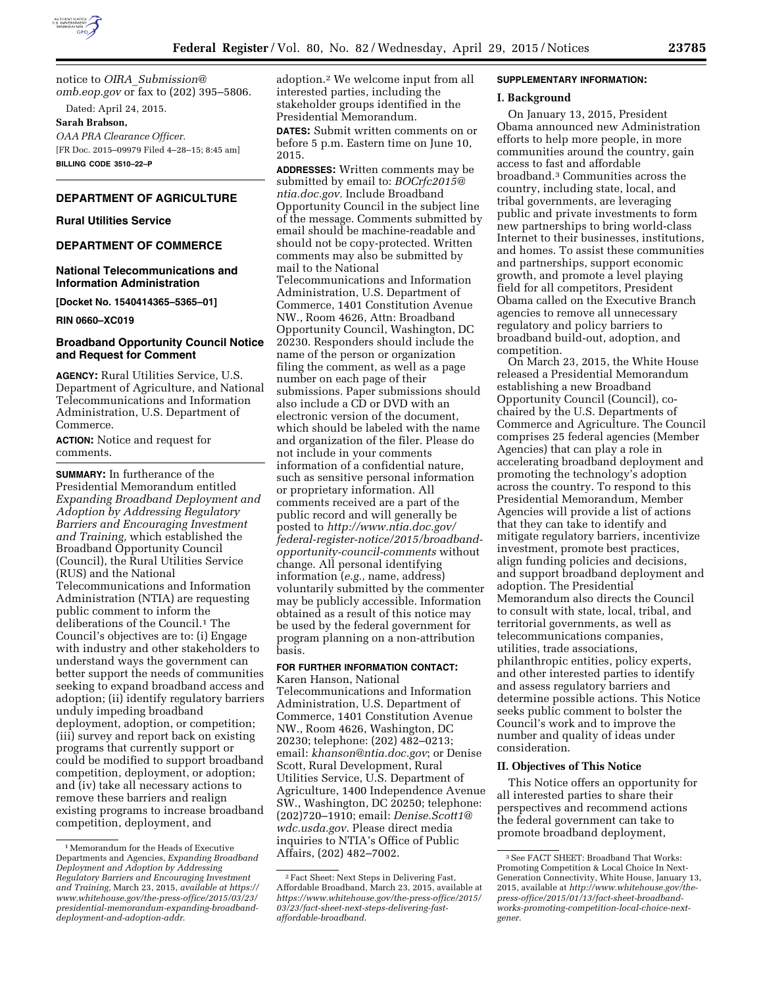

notice to *OIRA*\_*[Submission@](mailto:OIRA_Submission@omb.eop.gov) [omb.eop.gov](mailto:OIRA_Submission@omb.eop.gov)* or fax to (202) 395–5806.

Dated: April 24, 2015. **Sarah Brabson,** 

*OAA PRA Clearance Officer.*  [FR Doc. 2015–09979 Filed 4–28–15; 8:45 am] **BILLING CODE 3510–22–P** 

## **DEPARTMENT OF AGRICULTURE**

### **Rural Utilities Service**

## **DEPARTMENT OF COMMERCE**

#### **National Telecommunications and Information Administration**

**[Docket No. 1540414365–5365–01]** 

**RIN 0660–XC019** 

#### **Broadband Opportunity Council Notice and Request for Comment**

**AGENCY:** Rural Utilities Service, U.S. Department of Agriculture, and National Telecommunications and Information Administration, U.S. Department of Commerce.

**ACTION:** Notice and request for comments.

**SUMMARY:** In furtherance of the Presidential Memorandum entitled *Expanding Broadband Deployment and Adoption by Addressing Regulatory Barriers and Encouraging Investment and Training,* which established the Broadband Opportunity Council (Council), the Rural Utilities Service (RUS) and the National Telecommunications and Information Administration (NTIA) are requesting public comment to inform the deliberations of the Council.<sup>1</sup> The Council's objectives are to: (i) Engage with industry and other stakeholders to understand ways the government can better support the needs of communities seeking to expand broadband access and adoption; (ii) identify regulatory barriers unduly impeding broadband deployment, adoption, or competition; (iii) survey and report back on existing programs that currently support or could be modified to support broadband competition, deployment, or adoption; and (iv) take all necessary actions to remove these barriers and realign existing programs to increase broadband competition, deployment, and

adoption.2 We welcome input from all interested parties, including the stakeholder groups identified in the Presidential Memorandum.

**DATES:** Submit written comments on or before 5 p.m. Eastern time on June 10, 2015.

**ADDRESSES:** Written comments may be submitted by email to: *[BOCrfc2015@](mailto:BOCrfc2015@ntia.doc.gov) [ntia.doc.gov.](mailto:BOCrfc2015@ntia.doc.gov)* Include Broadband Opportunity Council in the subject line of the message. Comments submitted by email should be machine-readable and should not be copy-protected. Written comments may also be submitted by mail to the National Telecommunications and Information Administration, U.S. Department of Commerce, 1401 Constitution Avenue NW., Room 4626, Attn: Broadband Opportunity Council, Washington, DC 20230. Responders should include the name of the person or organization filing the comment, as well as a page number on each page of their submissions. Paper submissions should also include a CD or DVD with an electronic version of the document, which should be labeled with the name and organization of the filer. Please do not include in your comments information of a confidential nature, such as sensitive personal information or proprietary information. All comments received are a part of the public record and will generally be posted to *[http://www.ntia.doc.gov/](http://www.ntia.doc.gov/federal-register-notice/2015/broadband-opportunity-council-comments) [federal-register-notice/2015/broadband](http://www.ntia.doc.gov/federal-register-notice/2015/broadband-opportunity-council-comments)[opportunity-council-comments](http://www.ntia.doc.gov/federal-register-notice/2015/broadband-opportunity-council-comments)* without change. All personal identifying information (*e.g.,* name, address) voluntarily submitted by the commenter may be publicly accessible. Information obtained as a result of this notice may be used by the federal government for program planning on a non-attribution basis.

# **FOR FURTHER INFORMATION CONTACT:**

Karen Hanson, National Telecommunications and Information Administration, U.S. Department of Commerce, 1401 Constitution Avenue NW., Room 4626, Washington, DC 20230; telephone: (202) 482–0213; email: *[khanson@ntia.doc.gov](mailto:khanson@ntia.doc.gov)*; or Denise Scott, Rural Development, Rural Utilities Service, U.S. Department of Agriculture, 1400 Independence Avenue SW., Washington, DC 20250; telephone: (202)720–1910; email: *[Denise.Scott1@](mailto:Denise.Scott1@wdc.usda.gov) [wdc.usda.gov](mailto:Denise.Scott1@wdc.usda.gov)*. Please direct media inquiries to NTIA's Office of Public Affairs, (202) 482–7002.

#### **SUPPLEMENTARY INFORMATION:**

#### **I. Background**

On January 13, 2015, President Obama announced new Administration efforts to help more people, in more communities around the country, gain access to fast and affordable broadband.3 Communities across the country, including state, local, and tribal governments, are leveraging public and private investments to form new partnerships to bring world-class Internet to their businesses, institutions, and homes. To assist these communities and partnerships, support economic growth, and promote a level playing field for all competitors, President Obama called on the Executive Branch agencies to remove all unnecessary regulatory and policy barriers to broadband build-out, adoption, and competition.

On March 23, 2015, the White House released a Presidential Memorandum establishing a new Broadband Opportunity Council (Council), cochaired by the U.S. Departments of Commerce and Agriculture. The Council comprises 25 federal agencies (Member Agencies) that can play a role in accelerating broadband deployment and promoting the technology's adoption across the country. To respond to this Presidential Memorandum, Member Agencies will provide a list of actions that they can take to identify and mitigate regulatory barriers, incentivize investment, promote best practices, align funding policies and decisions, and support broadband deployment and adoption. The Presidential Memorandum also directs the Council to consult with state, local, tribal, and territorial governments, as well as telecommunications companies, utilities, trade associations, philanthropic entities, policy experts, and other interested parties to identify and assess regulatory barriers and determine possible actions. This Notice seeks public comment to bolster the Council's work and to improve the number and quality of ideas under consideration.

#### **II. Objectives of This Notice**

This Notice offers an opportunity for all interested parties to share their perspectives and recommend actions the federal government can take to promote broadband deployment,

<sup>1</sup>Memorandum for the Heads of Executive Departments and Agencies, *Expanding Broadband Deployment and Adoption by Addressing Regulatory Barriers and Encouraging Investment and Training,* March 23, 2015, *available at [https://](https://www.whitehouse.gov/the-press-office/2015/03/23/presidential-memorandum-expanding-broadband-deployment-and-adoption-addr)  [www.whitehouse.gov/the-press-office/2015/03/23/](https://www.whitehouse.gov/the-press-office/2015/03/23/presidential-memorandum-expanding-broadband-deployment-and-adoption-addr) [presidential-memorandum-expanding-broadband](https://www.whitehouse.gov/the-press-office/2015/03/23/presidential-memorandum-expanding-broadband-deployment-and-adoption-addr)[deployment-and-adoption-addr](https://www.whitehouse.gov/the-press-office/2015/03/23/presidential-memorandum-expanding-broadband-deployment-and-adoption-addr)*.

<sup>2</sup>Fact Sheet: Next Steps in Delivering Fast, Affordable Broadband, March 23, 2015, available at *[https://www.whitehouse.gov/the-press-office/2015/](https://www.whitehouse.gov/the-press-office/2015/03/23/fact-sheet-next-steps-delivering-fast-affordable-broadband) [03/23/fact-sheet-next-steps-delivering-fast](https://www.whitehouse.gov/the-press-office/2015/03/23/fact-sheet-next-steps-delivering-fast-affordable-broadband)[affordable-broadband](https://www.whitehouse.gov/the-press-office/2015/03/23/fact-sheet-next-steps-delivering-fast-affordable-broadband)*.

<sup>3</sup>See FACT SHEET: Broadband That Works: Promoting Competition & Local Choice In Next-Generation Connectivity, White House, January 13, 2015, available at *[http://www.whitehouse.gov/the](http://www.whitehouse.gov/the-press-office/2015/01/13/fact-sheet-broadband-works-promoting-competition-local-choice-next-gener)[press-office/2015/01/13/fact-sheet-broadband](http://www.whitehouse.gov/the-press-office/2015/01/13/fact-sheet-broadband-works-promoting-competition-local-choice-next-gener)[works-promoting-competition-local-choice-next](http://www.whitehouse.gov/the-press-office/2015/01/13/fact-sheet-broadband-works-promoting-competition-local-choice-next-gener)[gener.](http://www.whitehouse.gov/the-press-office/2015/01/13/fact-sheet-broadband-works-promoting-competition-local-choice-next-gener)*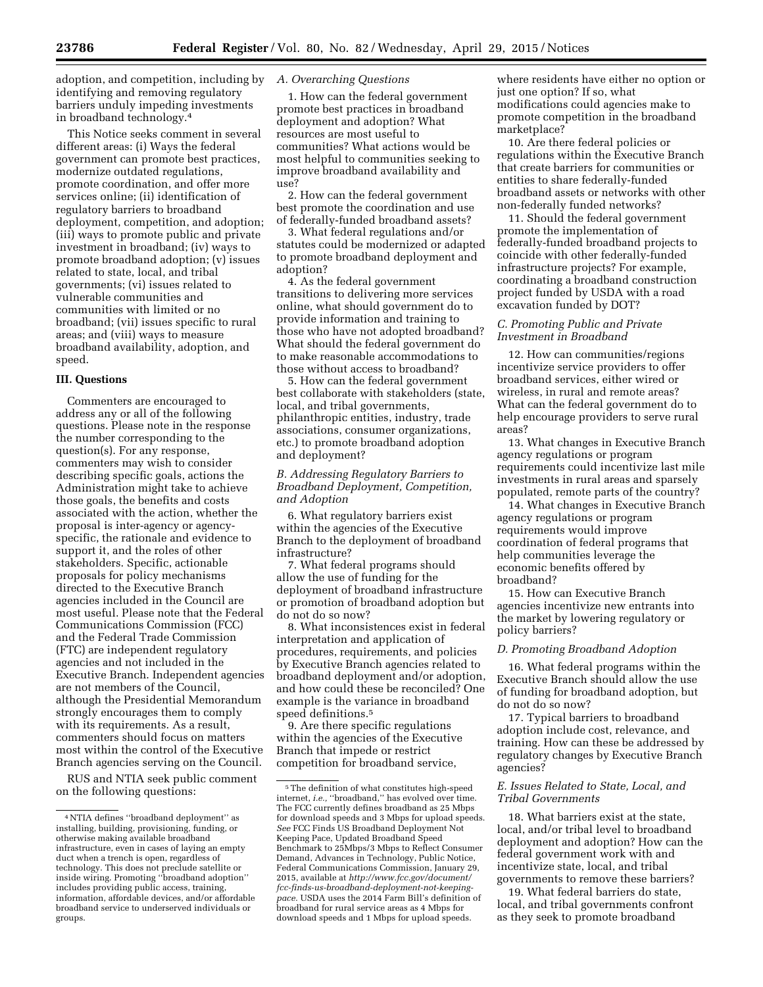adoption, and competition, including by identifying and removing regulatory barriers unduly impeding investments in broadband technology.4

This Notice seeks comment in several different areas: (i) Ways the federal government can promote best practices, modernize outdated regulations, promote coordination, and offer more services online; (ii) identification of regulatory barriers to broadband deployment, competition, and adoption; (iii) ways to promote public and private investment in broadband; (iv) ways to promote broadband adoption; (v) issues related to state, local, and tribal governments; (vi) issues related to vulnerable communities and communities with limited or no broadband; (vii) issues specific to rural areas; and (viii) ways to measure broadband availability, adoption, and speed.

#### **III. Questions**

Commenters are encouraged to address any or all of the following questions. Please note in the response the number corresponding to the question(s). For any response, commenters may wish to consider describing specific goals, actions the Administration might take to achieve those goals, the benefits and costs associated with the action, whether the proposal is inter-agency or agencyspecific, the rationale and evidence to support it, and the roles of other stakeholders. Specific, actionable proposals for policy mechanisms directed to the Executive Branch agencies included in the Council are most useful. Please note that the Federal Communications Commission (FCC) and the Federal Trade Commission (FTC) are independent regulatory agencies and not included in the Executive Branch. Independent agencies are not members of the Council, although the Presidential Memorandum strongly encourages them to comply with its requirements. As a result, commenters should focus on matters most within the control of the Executive Branch agencies serving on the Council.

RUS and NTIA seek public comment on the following questions:

## *A. Overarching Questions*

1. How can the federal government promote best practices in broadband deployment and adoption? What resources are most useful to communities? What actions would be most helpful to communities seeking to improve broadband availability and use?

2. How can the federal government best promote the coordination and use of federally-funded broadband assets?

3. What federal regulations and/or statutes could be modernized or adapted to promote broadband deployment and adoption?

4. As the federal government transitions to delivering more services online, what should government do to provide information and training to those who have not adopted broadband? What should the federal government do to make reasonable accommodations to those without access to broadband?

5. How can the federal government best collaborate with stakeholders (state, local, and tribal governments, philanthropic entities, industry, trade associations, consumer organizations, etc.) to promote broadband adoption and deployment?

### *B. Addressing Regulatory Barriers to Broadband Deployment, Competition, and Adoption*

6. What regulatory barriers exist within the agencies of the Executive Branch to the deployment of broadband infrastructure?

7. What federal programs should allow the use of funding for the deployment of broadband infrastructure or promotion of broadband adoption but do not do so now?

8. What inconsistences exist in federal interpretation and application of procedures, requirements, and policies by Executive Branch agencies related to broadband deployment and/or adoption, and how could these be reconciled? One example is the variance in broadband speed definitions.5

9. Are there specific regulations within the agencies of the Executive Branch that impede or restrict competition for broadband service,

where residents have either no option or just one option? If so, what modifications could agencies make to promote competition in the broadband marketplace?

10. Are there federal policies or regulations within the Executive Branch that create barriers for communities or entities to share federally-funded broadband assets or networks with other non-federally funded networks?

11. Should the federal government promote the implementation of federally-funded broadband projects to coincide with other federally-funded infrastructure projects? For example, coordinating a broadband construction project funded by USDA with a road excavation funded by DOT?

## *C. Promoting Public and Private Investment in Broadband*

12. How can communities/regions incentivize service providers to offer broadband services, either wired or wireless, in rural and remote areas? What can the federal government do to help encourage providers to serve rural areas?

13. What changes in Executive Branch agency regulations or program requirements could incentivize last mile investments in rural areas and sparsely populated, remote parts of the country?

14. What changes in Executive Branch agency regulations or program requirements would improve coordination of federal programs that help communities leverage the economic benefits offered by broadband?

15. How can Executive Branch agencies incentivize new entrants into the market by lowering regulatory or policy barriers?

#### *D. Promoting Broadband Adoption*

16. What federal programs within the Executive Branch should allow the use of funding for broadband adoption, but do not do so now?

17. Typical barriers to broadband adoption include cost, relevance, and training. How can these be addressed by regulatory changes by Executive Branch agencies?

## *E. Issues Related to State, Local, and Tribal Governments*

18. What barriers exist at the state, local, and/or tribal level to broadband deployment and adoption? How can the federal government work with and incentivize state, local, and tribal governments to remove these barriers?

19. What federal barriers do state, local, and tribal governments confront as they seek to promote broadband

<sup>4</sup>NTIA defines ''broadband deployment'' as installing, building, provisioning, funding, or otherwise making available broadband infrastructure, even in cases of laying an empty duct when a trench is open, regardless of technology. This does not preclude satellite or inside wiring. Promoting ''broadband adoption'' includes providing public access, training, information, affordable devices, and/or affordable broadband service to underserved individuals or groups.

 $^{\rm 5}$  The definition of what constitutes high-speed internet, *i.e.,* ''broadband,'' has evolved over time. The FCC currently defines broadband as 25 Mbps for download speeds and 3 Mbps for upload speeds. *See* FCC Finds US Broadband Deployment Not Keeping Pace, Updated Broadband Speed Benchmark to 25Mbps/3 Mbps to Reflect Consumer Demand, Advances in Technology, Public Notice, Federal Communications Commission, January 29, 2015, available at *[http://www.fcc.gov/document/](http://www.fcc.gov/document/fcc-finds-us-broadband-deployment-not-keeping-pace) [fcc-finds-us-broadband-deployment-not-keeping](http://www.fcc.gov/document/fcc-finds-us-broadband-deployment-not-keeping-pace)[pace.](http://www.fcc.gov/document/fcc-finds-us-broadband-deployment-not-keeping-pace)* USDA uses the 2014 Farm Bill's definition of broadband for rural service areas as 4 Mbps for download speeds and 1 Mbps for upload speeds.